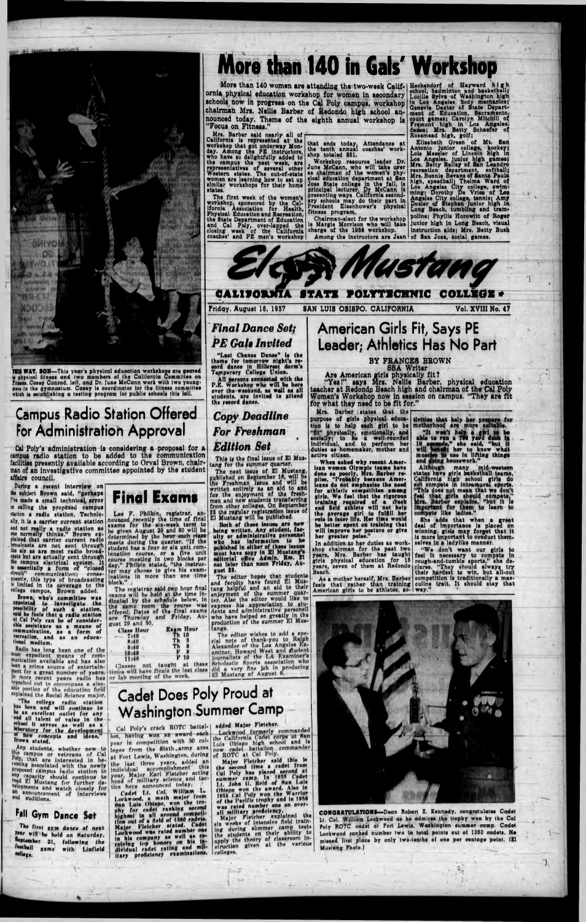

THE WAY, SON-This year's physical education workshops are geared is physical litness and two members of the California Committee on sten in the gymnasium. Casey is coordinator for the fitness committee which is establishing a testing program for public schools this fall.

## **Campus Radio Station Offered For Administration Approval**

Cal Poly's administration is considering a proposal for a campus radio station to be added to the communication facilities presently available according to Orval Brown, chairman of an investigative committee appointed by the student affairs council.

During a recent interview on the subject Brown said, "perhaps I've made a small technical error in calling the proposed campus station a radio station. Technic- Leo F. Philbin, registrar, an-<br>ally, it is a carrier current station nounced recently the time of final<br>and not really a radio station on exams for the six-week term to plained that carrier current radio<br>broukasts are not sent through<br>the sir as are most radio broad-<br>east but are actually sent through<br>the campus electrical system. It<br>is essentially a form of "closed<br>dreuit" communication;



ally, it is a carrier current station as wants for the six-week term to and not really a radio station as be given August 29 and 30 will be one normally thinks." Brown ex-<br>plained that carrier current radio determined by t block."

The registrar said two hour final<br>suams will be held at the time in-

# More than 140 in Gals' Workshop

More than 140 women are attending the two-week Calif- Heckendorf of Hayward high<br>la physical education workshop for women in secondary Lucille Bylva of Washington high<br>pols now in progress on the Cal Poly campus, workshop ornia physical education workshop for women in secondary schools now in progress on the Cal Poly campus, workshop chairman Mrs. Nellie Barber of Redondo high school announced today. Theme of the eighth annual workshop is "Focus on Fitness."

The State Department of Education Chairman-elect for the workshop points; Fnyins Rorowitt or<br>the State Department of Education (Chairman-elect for the workshop) unior high in Long Beach,<br>and Call Poly, over-lapped the is M

dentition, Sacramento, court games; Carolyn Mitchill of<br>frament high in Los Angeles.<br>dance; Mrs. Betty Schaefer of<br>Rosemead high, golf;

Focus on Fitness."<br>
Nrs. Barber said nearly all of<br>
California is represented at the that ends today, Attendance at Nosemaad high, golf, Manusia and Workshop that got underway Mon-<br>
the tent ends today, Attendance at Mooni poline; Phyllis Horowitt of Roger Chairman-elect for the workshop poline; Phyllis Horowitt of Roger<br>is Margie Morrison who will take junior high in Long Beach, visual<br>charge of the 1958 workshop. Instruction aids; Mrs. Betty Bush



SAN LUIS OBISPO, CALIFORNIA

Friday, August 16, 1957

Vol. XVIII No. 47

## **Final Dance Set; PE Gals Invited**

"Last Chance Dance" is the theme for tomorrow night's record dance in Hillerest dorm's

All persons connected with the<br>P.E. Workshop who will be here over the weekend, as well as all atudents, are invited to attend the record dance.

**Copy Deadline For Freshman Edition Set** 

This is the final issue of El Mustang for the summer quarter.

tang for the summer quarter.<br>The next issue of El Mustang,<br>published on September 16, will be<br>the Freshman Issue and will be<br>written entirely as an aid to and<br>for the enjoyment of the fresh-<br>men and new students transferri

En musics will be published<br>being written. Any student, fas-<br>hity or administrative personnel<br>who has information to be<br>published in either of these issues<br>must have sopy in El Mustang's<br>editorial office Admin. Rm. 31<br>not gust 23.

The editor hopes that students<br>and faculty have found El Mustang helpful and an aid to their enjoyment of the summer quar-<br>ter. Also the editor would like to<br>express his appreciation to stu-<br>dents and administrative personall na who have helped so greatly in the production of the summer El Mustangs. tangs.<br>
The editor wishes to add a special note of thank-you to Raiph<br>
Alexander of the Los Angeles Ex-<br>
Alexander of the Los Angeles Ex-<br>
miner, Howard West and student<br>
journalists of the LA Examiner's<br>
Scholnstic Sports

## **American Girls Fit, Says PE** Leader; Athletics Has No Part

### BY FRANCES BROWN

Are American girls physically fit?<br>
"Yes!" aays Mrs. Nellie Barber, physical education<br>
teacher at Redondo Beach high and chairman of the Cal Poly<br>
Women's Workshop Beach high and chairman of the Cal Poly Women's Workshop now in session on campus. "They are fit for what they need to be fit for."

for what they need to be fit for."<br>
Mrs. Barber istates that the<br>
purpose of girls physical educe-<br>
tities that help her present for<br>
tion is to help each girl to be mothernood are more nuitable.<br>
"Sty physically, and to p girls. We feel that the rigorous<br>training required of a create<br>and field athlete will not help<br>the average girl to fulfill her<br>rele in later life. Her time would<br>be better spent on training that<br>will improve her posture or

In addition to her duties as work-

She adds that when a great deal of importance is placed on winning. give may forget that it is more important to conduct themselves in a ladylike manner.

shop chairman for the past two "We don't want our girls to years, Mrs. Barber has taught feel it necessary to compete in girls physical education for 15 rough-and-tumble sports," she de-<br>years, seven of them at Redondo cla

spointed to investigate the<br>possibility of such a station,<br>tai he feels that a radio station,<br>at Cal Poly can be of considerable assistance as a form of<br>communication, as a form of<br>recreation, and as an educa-<br>tional medium.

Radio has long been one of the mest expedient means of com-<br>munication available and has also men a prime source of entertainment for a great number of years. in more recent years radio has branched out to encompass a sizeable portion of the education field<br>explained the Bocial Science major.

"The college radio station be an excellent outlet for any an excellent outlet for any<br>stand all talent of value in the<br>stand it serves as well as a<br>interactory for the development<br>of concepts and ideas, Brown stated.

Any students, whether new-to<br>this campus or veterans of Cal<br>Poly, that are interested in be-

September 21, following the restball game with Linfleld college.

|                 | ilcated by the schedule below,   |
|-----------------|----------------------------------|
|                 | the same room the course w       |
|                 | offered, Dates of the final exam |
|                 | are Thursday and Friday, A       |
| gust 29 and 80. |                                  |
| Class Hour      | <b>Exam Hour</b>                 |
| $-7,40$         | <b>Th 10</b>                     |
| H:40            | Th <sub>3</sub>                  |
| 9:40            | Th S                             |
| 10:40           | $\mathbf{r}$ s                   |
| 11.40           | V <sub>10</sub>                  |

Classes not taught at these tintes will have finals the last class or lab meeting of the week.

## **Cadet Does Poly Proud at Washington Summer Camp**

Cal Poly's crack ROTC battal-1 lon, having won an award each year in competition with 30 col-<br>
the California Cadet carps at San<br>
integes from the Sixth army area<br>
at Fort Lewis, Washington, during<br>
the last three years, added an<br>
individual accomplishment this<br>
individual accomplis

The time and solid of the head of the same of the time in the search of a field of 1860 enderstand the same of the time of the same and the same of the same of the same of the same of the same of the same of the same of th in his company as well as re-<br>reiving top honors on his in-<br>dividual cadet rating and military proficiency examinations,

added Major Fletcher. Lockwood formerly commanded<br>the California Cadet corps at San

was rated number one on over-<br>all military proficiency.<br>Major Fietcher explained the<br>six weeks of intensive field training during summer camp tests the students on their shillty to apply the theory of classroom incolleges,



CONGRATULATIONS-Dean Robert E. Kennedy, congratulates Cadet Lt. Col. William Lockwood as he admires the trophy won by the Cal Poly ROTC cadet at Fort Lewis, Washington summer camp. Cadet Lockwood ranked number two in total points out of 1360 oadets. He missed lirst place by only two-tenths of one per centage point. (El Musinng Photo.)

7.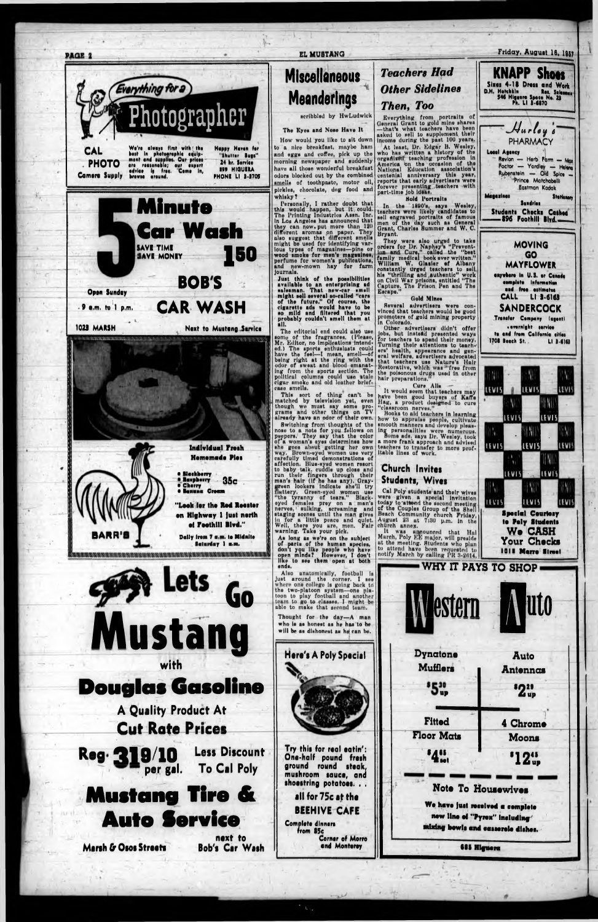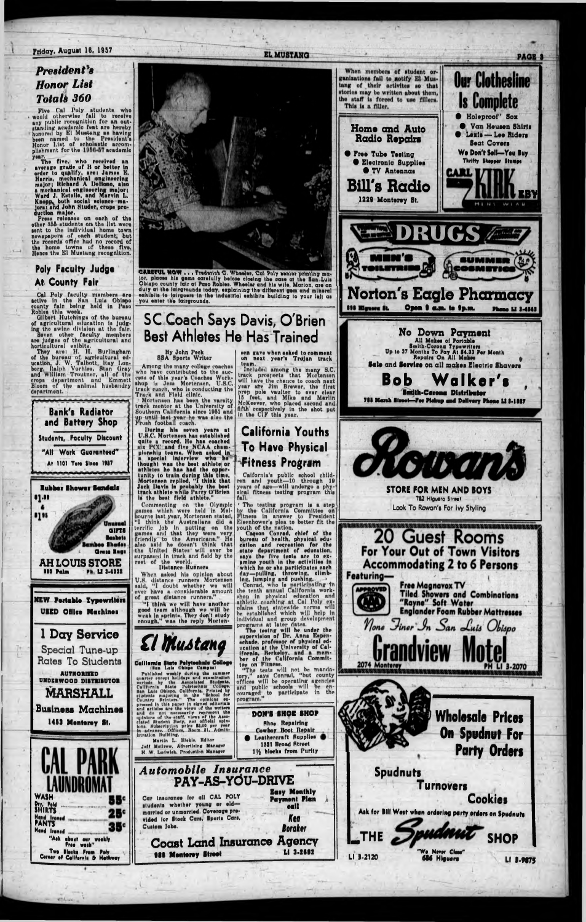## **Poly Faculty Judge**

 $\frac{74}{1}$ 



# **Best Athletes He Has Trained**